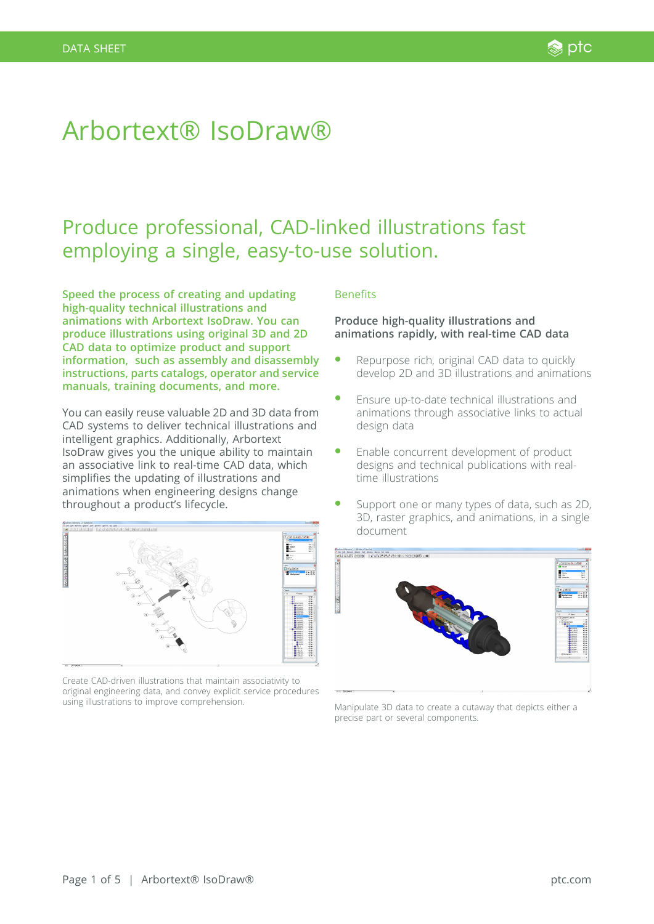# Arbortext® IsoDraw®

# Produce professional, CAD-linked illustrations fast employing a single, easy-to-use solution.

**Speed the process of creating and updating high-quality technical illustrations and animations with Arbortext IsoDraw. You can produce illustrations using original 3D and 2D CAD data to optimize product and support information, such as assembly and disassembly instructions, parts catalogs, operator and service manuals, training documents, and more.**

You can easily reuse valuable 2D and 3D data from CAD systems to deliver technical illustrations and intelligent graphics. Additionally, Arbortext IsoDraw gives you the unique ability to maintain an associative link to real-time CAD data, which simplifies the updating of illustrations and animations when engineering designs change throughout a product's lifecycle.



Create CAD-driven illustrations that maintain associativity to original engineering data, and convey explicit service procedures using illustrations to improve comprehension.

### Benefits

# **Produce high-quality illustrations and animations rapidly, with real-time CAD data**

- Repurpose rich, original CAD data to quickly develop 2D and 3D illustrations and animations
- � Ensure up-to-date technical illustrations and animations through associative links to actual design data
- Enable concurrent development of product designs and technical publications with realtime illustrations
- Support one or many types of data, such as 2D, 3D, raster graphics, and animations, in a single document



Manipulate 3D data to create a cutaway that depicts either a precise part or several components.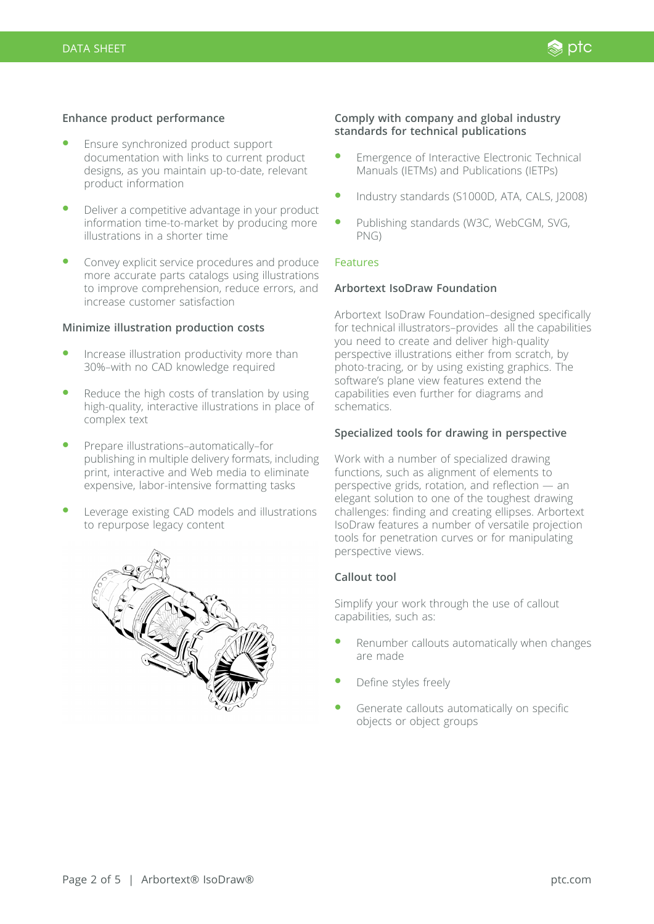### **Enhance product performance**

- Ensure synchronized product support documentation with links to current product designs, as you maintain up-to-date, relevant product information
- Deliver a competitive advantage in your product information time-to-market by producing more illustrations in a shorter time
- � Convey explicit service procedures and produce more accurate parts catalogs using illustrations to improve comprehension, reduce errors, and increase customer satisfaction

#### **Minimize illustration production costs**

- Increase illustration productivity more than 30%–with no CAD knowledge required
- Reduce the high costs of translation by using high-quality, interactive illustrations in place of complex text
- � Prepare illustrations–automatically–for publishing in multiple delivery formats, including print, interactive and Web media to eliminate expensive, labor-intensive formatting tasks
- Leverage existing CAD models and illustrations to repurpose legacy content



#### **Comply with company and global industry standards for technical publications**

- � Emergence of Interactive Electronic Technical Manuals (IETMs) and Publications (IETPs)
- � Industry standards (S1000D, ATA, CALS, J2008)
- Publishing standards (W3C, WebCGM, SVG, PNG)

## Features

#### **Arbortext IsoDraw Foundation**

Arbortext IsoDraw Foundation–designed specifically for technical illustrators–provides all the capabilities you need to create and deliver high-quality perspective illustrations either from scratch, by photo-tracing, or by using existing graphics. The software's plane view features extend the capabilities even further for diagrams and schematics.

### **Specialized tools for drawing in perspective**

Work with a number of specialized drawing functions, such as alignment of elements to perspective grids, rotation, and reflection — an elegant solution to one of the toughest drawing challenges: finding and creating ellipses. Arbortext IsoDraw features a number of versatile projection tools for penetration curves or for manipulating perspective views.

# **Callout tool**

Simplify your work through the use of callout capabilities, such as:

- Renumber callouts automatically when changes are made
- Define styles freely
- Generate callouts automatically on specific objects or object groups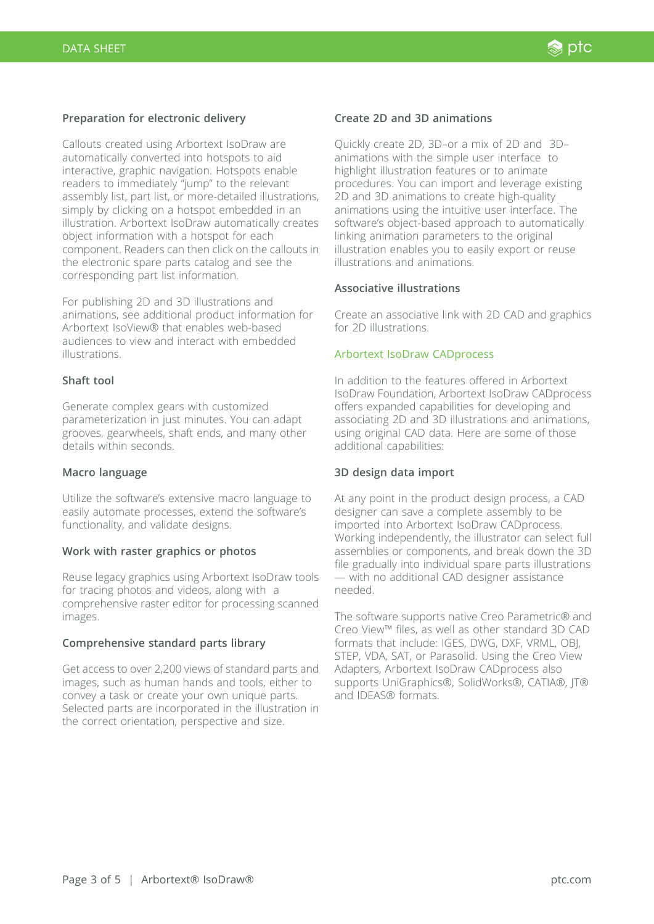# **Preparation for electronic delivery**

Callouts created using Arbortext IsoDraw are automatically converted into hotspots to aid interactive, graphic navigation. Hotspots enable readers to immediately "jump" to the relevant assembly list, part list, or more-detailed illustrations, simply by clicking on a hotspot embedded in an illustration. Arbortext IsoDraw automatically creates object information with a hotspot for each component. Readers can then click on the callouts in the electronic spare parts catalog and see the corresponding part list information.

For publishing 2D and 3D illustrations and animations, see additional product information for Arbortext IsoView® that enables web-based audiences to view and interact with embedded illustrations.

## **Shaft tool**

Generate complex gears with customized parameterization in just minutes. You can adapt grooves, gearwheels, shaft ends, and many other details within seconds.

#### **Macro language**

Utilize the software's extensive macro language to easily automate processes, extend the software's functionality, and validate designs.

#### **Work with raster graphics or photos**

Reuse legacy graphics using Arbortext IsoDraw tools for tracing photos and videos, along with a comprehensive raster editor for processing scanned images.

#### **Comprehensive standard parts library**

Get access to over 2,200 views of standard parts and images, such as human hands and tools, either to convey a task or create your own unique parts. Selected parts are incorporated in the illustration in the correct orientation, perspective and size.

#### **Create 2D and 3D animations**

Quickly create 2D, 3D–or a mix of 2D and 3D– animations with the simple user interface to highlight illustration features or to animate procedures. You can import and leverage existing 2D and 3D animations to create high-quality animations using the intuitive user interface. The software's object-based approach to automatically linking animation parameters to the original illustration enables you to easily export or reuse illustrations and animations.

#### **Associative illustrations**

Create an associative link with 2D CAD and graphics for 2D illustrations.

#### Arbortext IsoDraw CADprocess

In addition to the features offered in Arbortext IsoDraw Foundation, Arbortext IsoDraw CADprocess offers expanded capabilities for developing and associating 2D and 3D illustrations and animations, using original CAD data. Here are some of those additional capabilities:

#### **3D design data import**

At any point in the product design process, a CAD designer can save a complete assembly to be imported into Arbortext IsoDraw CADprocess. Working independently, the illustrator can select full assemblies or components, and break down the 3D file gradually into individual spare parts illustrations — with no additional CAD designer assistance needed.

The software supports native Creo Parametric® and Creo View™ files, as well as other standard 3D CAD formats that include: IGES, DWG, DXF, VRML, OBJ, STEP, VDA, SAT, or Parasolid. Using the Creo View Adapters, Arbortext IsoDraw CADprocess also supports UniGraphics®, SolidWorks®, CATIA®, IT® and IDEAS® formats.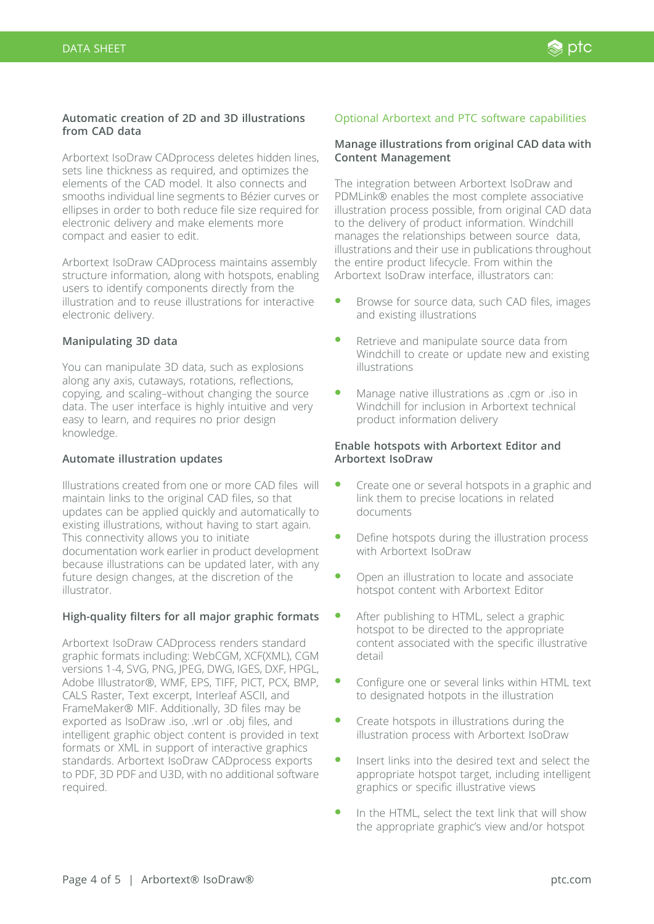# **Automatic creation of 2D and 3D illustrations from CAD data**

Arbortext IsoDraw CADprocess deletes hidden lines, sets line thickness as required, and optimizes the elements of the CAD model. It also connects and smooths individual line segments to Bézier curves or ellipses in order to both reduce file size required for electronic delivery and make elements more compact and easier to edit.

Arbortext IsoDraw CADprocess maintains assembly structure information, along with hotspots, enabling users to identify components directly from the illustration and to reuse illustrations for interactive electronic delivery.

# **Manipulating 3D data**

You can manipulate 3D data, such as explosions along any axis, cutaways, rotations, reflections, copying, and scaling–without changing the source data. The user interface is highly intuitive and very easy to learn, and requires no prior design knowledge.

# **Automate illustration updates**

Illustrations created from one or more CAD files will maintain links to the original CAD files, so that updates can be applied quickly and automatically to existing illustrations, without having to start again. This connectivity allows you to initiate documentation work earlier in product development because illustrations can be updated later, with any future design changes, at the discretion of the illustrator.

# **High-quality filters for all major graphic formats**

Arbortext IsoDraw CADprocess renders standard graphic formats including: WebCGM, XCF(XML), CGM versions 1-4, SVG, PNG, JPEG, DWG, IGES, DXF, HPGL, Adobe Illustrator®, WMF, EPS, TIFF, PICT, PCX, BMP, CALS Raster, Text excerpt, Interleaf ASCII, and FrameMaker® MIF. Additionally, 3D files may be exported as IsoDraw .iso, .wrl or .obj files, and intelligent graphic object content is provided in text formats or XML in support of interactive graphics standards. Arbortext IsoDraw CADprocess exports to PDF, 3D PDF and U3D, with no additional software required.

# Optional Arbortext and PTC software capabilities

# **Manage illustrations from original CAD data with Content Management**

The integration between Arbortext IsoDraw and PDMLink® enables the most complete associative illustration process possible, from original CAD data to the delivery of product information. Windchill manages the relationships between source data, illustrations and their use in publications throughout the entire product lifecycle. From within the Arbortext IsoDraw interface, illustrators can:

- Browse for source data, such CAD files, images and existing illustrations
- Retrieve and manipulate source data from Windchill to create or update new and existing illustrations
- � Manage native illustrations as .cgm or .iso in Windchill for inclusion in Arbortext technical product information delivery

# **Enable hotspots with Arbortext Editor and Arbortext IsoDraw**

- � Create one or several hotspots in a graphic and link them to precise locations in related documents
- � Define hotspots during the illustration process with Arbortext IsoDraw
- � Open an illustration to locate and associate hotspot content with Arbortext Editor
- After publishing to HTML, select a graphic hotspot to be directed to the appropriate content associated with the specific illustrative detail
- � Configure one or several links within HTML text to designated hotpots in the illustration
- � Create hotspots in illustrations during the illustration process with Arbortext IsoDraw
- Insert links into the desired text and select the appropriate hotspot target, including intelligent graphics or specific illustrative views
- � In the HTML, select the text link that will show the appropriate graphic's view and/or hotspot